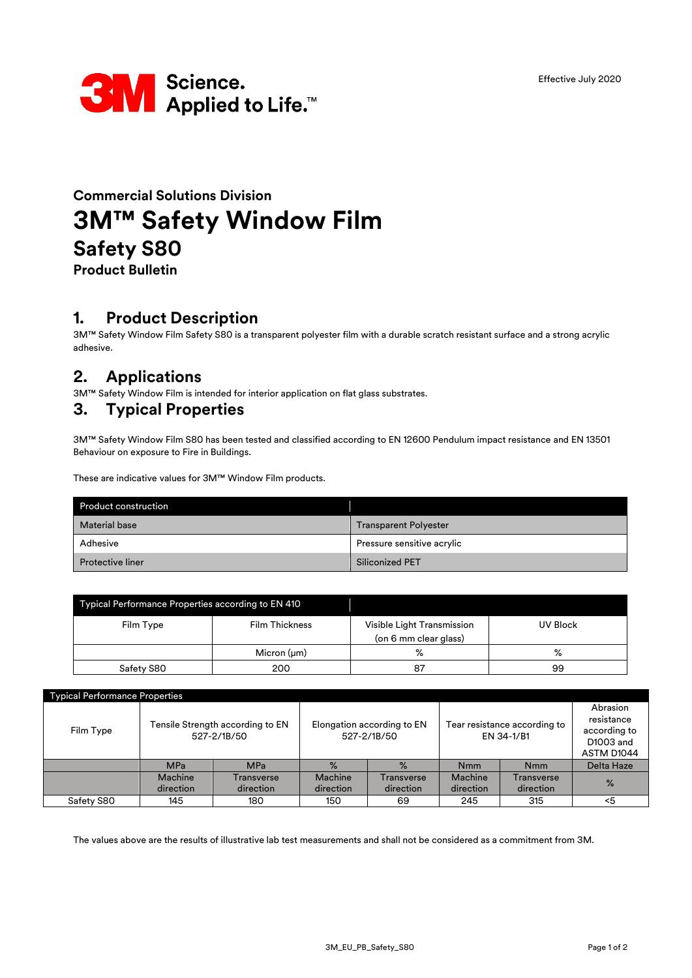

# **Commercial Solutions Division 3M™ Safety Window Film Safety S80**

**Product Bulletin**

### **1. Product Description**

3M™ Safety Window Film Safety S80 is a transparent polyester film with a durable scratch resistant surface and a strong acrylic adhesive.

## **2. Applications**

3M™ Safety Window Film is intended for interior application on flat glass substrates.

### **3. Typical Properties**

3M™ Safety Window Film S80 has been tested and classified according to EN 12600 Pendulum impact resistance and EN 13501 Behaviour on exposure to Fire in Buildings.

These are indicative values for 3M™ Window Film products.

| <b>Product construction</b> |                              |
|-----------------------------|------------------------------|
| <b>Material base</b>        | <b>Transparent Polyester</b> |
| Adhesive                    | Pressure sensitive acrylic   |
| <b>Protective liner</b>     | Siliconized PET              |

| Typical Performance Properties according to EN 410 |                       |                                                     |          |  |  |
|----------------------------------------------------|-----------------------|-----------------------------------------------------|----------|--|--|
| Film Type                                          | <b>Film Thickness</b> | Visible Light Transmission<br>(on 6 mm clear glass) | UV Block |  |  |
|                                                    | Micron $(\mu m)$      | $\%$                                                | ℅        |  |  |
| Safety S80                                         | 200                   | 87                                                  | 99       |  |  |

| <b>Typical Performance Properties</b> |                                                 |                         |                                           |                         |                                            |                         |                                                                   |
|---------------------------------------|-------------------------------------------------|-------------------------|-------------------------------------------|-------------------------|--------------------------------------------|-------------------------|-------------------------------------------------------------------|
| Film Type                             | Tensile Strength according to EN<br>527-2/1B/50 |                         | Elongation according to EN<br>527-2/1B/50 |                         | Tear resistance according to<br>EN 34-1/B1 |                         | Abrasion<br>resistance<br>according to<br>D1003 and<br>ASTM D1044 |
|                                       | <b>MPa</b>                                      | <b>MPa</b>              | $\%$                                      | $\frac{9}{6}$           | <b>Nmm</b>                                 | <b>Nmm</b>              | <b>Delta Haze</b>                                                 |
|                                       | Machine<br>direction                            | Transverse<br>direction | <b>Machine</b><br>direction               | Transverse<br>direction | Machine<br>direction                       | Transverse<br>direction | $\%$                                                              |
| Safety S80                            | 145                                             | 180                     | 150                                       | 69                      | 245                                        | 315                     | $5$                                                               |

The values above are the results of illustrative lab test measurements and shall not be considered as a commitment from 3M.